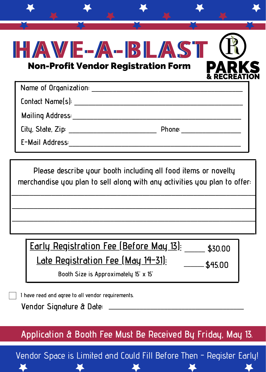| HAVE-A-BLAST<br><b>Non-Profit Vendor Registration Form</b>                                                                                                                                                                                                             | <b>RECREAT</b> |  |
|------------------------------------------------------------------------------------------------------------------------------------------------------------------------------------------------------------------------------------------------------------------------|----------------|--|
| Name of Organization: ______________________                                                                                                                                                                                                                           |                |  |
| Contact Name(s):                                                                                                                                                                                                                                                       |                |  |
| Mailing Address: National Address:                                                                                                                                                                                                                                     |                |  |
| City, State, Zip: __________________<br>Phone: the contract of the contract of the contract of the contract of the contract of the contract of the contract of the contract of the contract of the contract of the contract of the contract of the contract of the con |                |  |
| E-Mail Address:                                                                                                                                                                                                                                                        |                |  |

**Please describe your booth including all food items or novelty merchandise you plan to sell along with any activities you plan to offer:**

\_\_\_\_\_\_\_\_\_\_\_\_\_\_\_\_\_\_\_\_\_\_\_\_\_\_\_\_\_\_\_\_\_\_\_\_\_\_\_\_\_\_\_\_\_\_\_\_\_\_\_\_\_\_\_\_\_\_\_\_\_\_\_\_\_\_\_ \_\_\_\_\_\_\_\_\_\_\_\_\_\_\_\_\_\_\_\_\_\_\_\_\_\_\_\_\_\_\_\_\_\_\_\_\_\_\_\_\_\_\_\_\_\_\_\_\_\_\_\_\_\_\_\_\_\_\_\_\_\_\_\_\_\_\_ \_\_\_\_\_\_\_\_\_\_\_\_\_\_\_\_\_\_\_\_\_\_\_\_\_\_\_\_\_\_\_\_\_\_\_\_\_\_\_\_\_\_\_\_\_\_\_\_\_\_\_\_\_\_\_\_\_\_\_\_\_\_\_\_\_\_\_

**Late Registration Fee (May 14-31): \$30.00 \$45.00 Early Registration Fee (Before May 13):** \_\_\_\_\_\_  $\overline{\phantom{a}}$ 

**Booth Size is Approximately 15' x 15'**

**I have read and agree to all vendor requirements.**

**Vendor Signature & Date:** \_\_\_\_\_\_\_\_\_\_\_\_\_\_\_\_\_\_\_\_\_\_\_\_\_\_\_\_\_\_\_\_\_\_\_\_\_\_\_

**Application & Booth Fee Must Be Received By Friday, May 13.**

Vendor Space is Limited and Could Fill Before Then - Register Early!